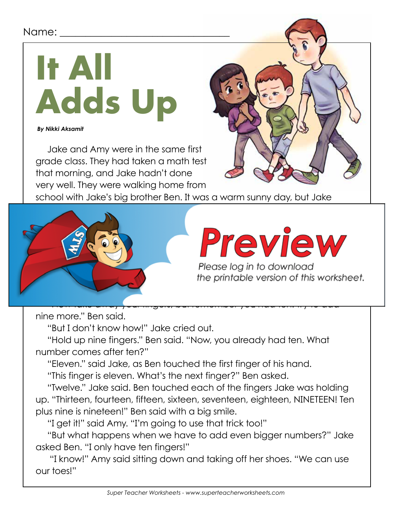### Name: <u>\_\_</u>

# **It All Adds Up**

 *By Nikki Aksamit*

Jake and Amy were in the same first grade class. They had taken a math test that morning, and Jake hadn't done very well. They were walking home from



school with Jake's big brother Ben. It was a warm sunny day, but Jake



Please log in to download<br>the printable version of this worksheet.

nine more." Ben said.

"But I don't know how!" Jake cried out.

"Hold up nine fingers." Ben said. "Now, you already had ten. What number comes after ten?"

"Eleven." said Jake, as Ben touched the first finger of his hand.

"This finger is eleven. What's the next finger?" Ben asked.

"Twelve." Jake said. Ben touched each of the fingers Jake was holding up. "Thirteen, fourteen, fifteen, sixteen, seventeen, eighteen, NINETEEN! Ten plus nine is nineteen!" Ben said with a big smile.

"I get it!" said Amy. "I'm going to use that trick too!"

"But what happens when we have to add even bigger numbers?" Jake asked Ben. "I only have ten fingers!"

 "I know!" Amy said sitting down and taking off her shoes. "We can use our toes!"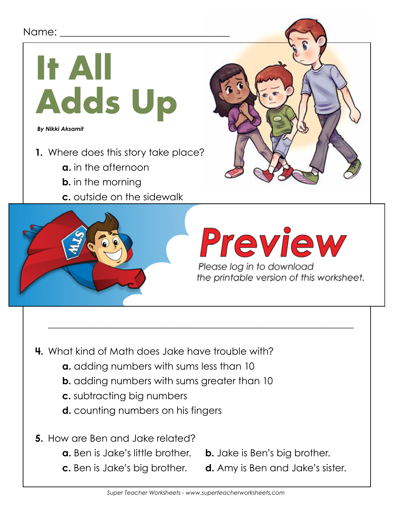### Name: \_\_\_\_\_\_\_\_\_\_\_\_\_\_\_\_\_\_\_\_\_\_\_\_\_\_\_\_\_\_\_\_\_



 $\mathcal{L}_\text{max}$  and  $\mathcal{L}_\text{max}$  and  $\mathcal{L}_\text{max}$  are the set of the set of the set of the set of the set of the set of the set of the set of the set of the set of the set of the set of the set of the set of the set of th

\_\_\_\_\_\_\_\_\_\_\_\_\_\_\_\_\_\_\_\_\_\_\_\_\_\_\_\_\_\_\_\_\_\_\_\_\_\_\_\_\_\_\_\_\_\_\_\_\_\_\_\_\_\_\_\_\_\_\_\_\_\_\_\_

- **4.** What kind of Math does Jake have trouble with?
	- **a.** adding numbers with sums less than 10
	- **b.** adding numbers with sums greater than 10
	- **c.** subtracting big numbers
	- **d.** counting numbers on his fingers
- **5.** How are Ben and Jake related?
	- **a.** Ben is Jake's little brother. **b.** Jake is Ben's big brother.
	-
- 
- **c.** Ben is Jake's big brother. **d.** Amy is Ben and Jake's sister.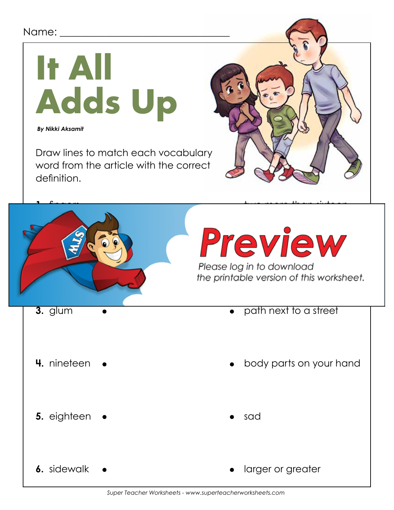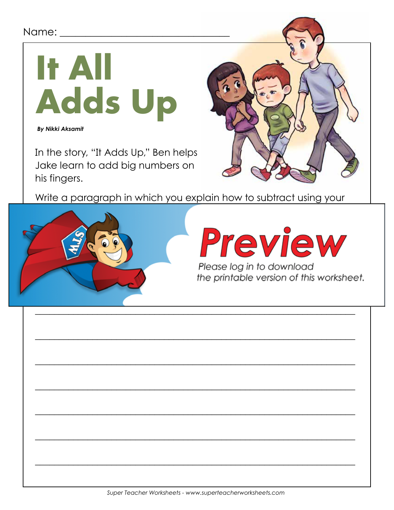## Name: \_\_\_\_\_\_



**By Nikki Aksamit** 

In the story, "It Adds Up," Ben helps Jake learn to add big numbers on his fingers.



Write a paragraph in which you explain how to subtract using your



Preview

Please log in to download the printable version of this worksheet.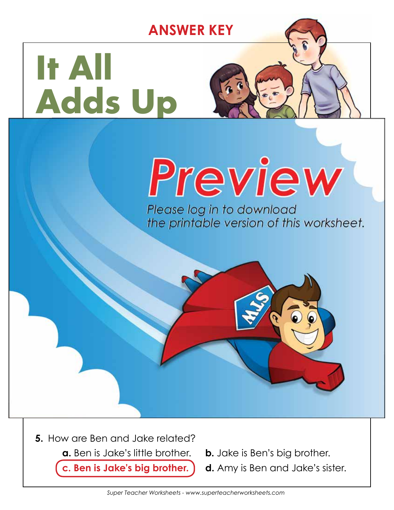**ANSWER KEY**

## **It All Adds Up**

**b.** in the morning

**d.** at school

answer.

# **c. outside on the sidewalk**

Please log in to download the printable version of this worksheet.



**c.** subtracting big numbers

**d.** counting numbers on his fingers

**c. Ben is Jake's big brother. d.** Amy is Ben and Jake's sister.

**Amy is probably 6 or 7 because she is in first grade.**

**4.** What kind of Math does Jake have trouble with?

**b. adding numbers with sums greater than 10**

**a. adding numbers with sums less than 100 millions** 

 $\mathcal{L} = \mathcal{L} - \mathcal{L}$ 

 $\blacksquare$ 

**2.** Which character is the oldest? \_\_\_\_\_\_\_\_\_\_\_\_\_\_\_\_\_\_\_\_\_\_\_\_\_\_\_\_\_\_\_\_\_

**3.** About how old do you think Amy is? Tell how you figured out your